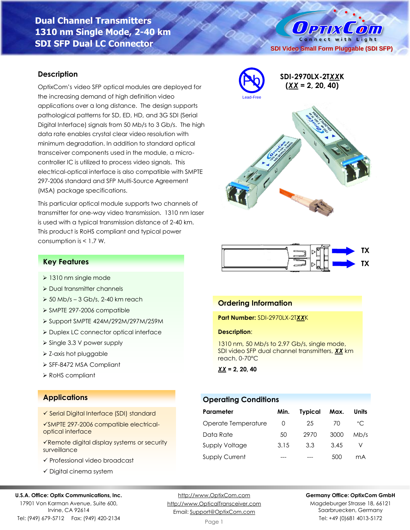# **Dual Channel Transmitters 1310 nm Single Mode, 2-40 km SDI SFP Dual LC Connector**

### **Description**

OptixCom's video SFP optical modules are deployed for the increasing demand of high definition video applications over a long distance. The design supports pathological patterns for SD, ED, HD, and 3G SDI (Serial Digital Interface) signals from 50 Mb/s to 3 Gb/s. The high data rate enables crystal clear video resolution with minimum degradation. In addition to standard optical transceiver components used in the module, a microcontroller IC is utilized to process video signals. This electrical-optical interface is also compatible with SMPTE 297-2006 standard and SFP Multi-Source Agreement (MSA) package specifications.

This particular optical module supports two channels of transmitter for one-way video transmission. 1310 nm laser is used with a typical transmission distance of 2-40 km. This product is RoHS compliant and typical power consumption is < 1.7 W.



**SDI Video Small Form Pluggable (SDI SFP)**

Connect with Light

 $\left( 0\right)$ 

 $0$  PTIX



### **Key Features**

- ➢ 1310 nm single mode
- ➢ Dual transmitter channels
- $\geq 50$  Mb/s 3 Gb/s, 2-40 km reach
- ➢ SMPTE 297-2006 compatible
- ➢ Support SMPTE 424M/292M/297M/259M
- ➢ Duplex LC connector optical interface
- ➢ Single 3.3 V power supply
- ➢ Z-axis hot pluggable
- ➢ SFF-8472 MSA Compliant
- ➢ RoHS compliant

## **Applications**

- ✓ Serial Digital Interface (SDI) standard
- ✓SMPTE 297-2006 compatible electricaloptical interface
- ✓Remote digital display systems or security surveillance
- ✓ Professional video broadcast
- ✓ Digital cinema system

#### **U.S.A. Office: Optix Communications, Inc.**

17901 Von Karman Avenue, Suite 600, Irvine, CA 92614 Tel: (949) 679-5712 Fax: (949) 420-2134

[http://www.OptixCom.com](http://www.optixcom.com/) [http://www.OpticalTransceiver.com](http://www.optoictech.com/) Email: [Support@OptixCom.com](mailto:Support@optoICtech.com)

### **Ordering Information**

#### **Part Number:** SDI-2970LX-2T*XX*K

#### **Description**:

1310 nm, 50 Mb/s to 2.97 Gb/s, single mode, SDI video SFP dual channel transmitters, *XX* km reach, 0-70°C

*XX* **= 2, 20, 40**

### **Operating Conditions**

| Parameter             | Min.             | <b>Typical</b> | Max. | Units        |
|-----------------------|------------------|----------------|------|--------------|
| Operate Temperature   | $\left( \right)$ | 25             | 70   | $^{\circ}$ C |
| Data Rate             | 50               | 2970           | 3000 | Mb/s         |
| <b>Supply Voltage</b> | 3.15             | 3.3            | 3.45 |              |
| <b>Supply Current</b> |                  |                | 500  | mA           |

**Germany Office: OptixCom GmbH**

Magdeburger Strasse 18, 66121 Saarbruecken, Germany Tel: +49 (0)681 4013-5172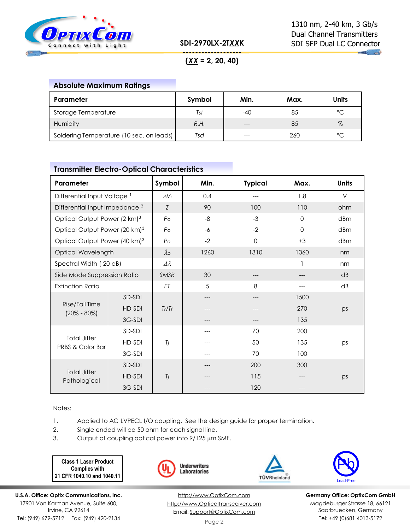

**SDI-2970LX-2T***XX***K**

**COLLECTION** 

**------------------- (***XX* **= 2, 20, 40)**

# **Absolute Maximum Ratings**

| Parameter                                | Symbol | Min.  | Max. | <b>Units</b> |
|------------------------------------------|--------|-------|------|--------------|
| Storage Temperature                      | Tst    | -40   | 85   | °C           |
| Humidity                                 | R.H.   | $---$ | 85   | $\%$         |
| Soldering Temperature (10 sec. on leads) | Tsd    |       | 260  | ∘∼           |

### **Transmitter Electro-Optical Characteristics**

| Parameter                                          |        | Symbol         | Min. | <b>Typical</b> | Max.     | <b>Units</b> |
|----------------------------------------------------|--------|----------------|------|----------------|----------|--------------|
| Differential Input Voltage <sup>1</sup>            |        | $\Delta V$ i   | 0.4  |                | 1.8      | V            |
| Differential Input Impedance <sup>2</sup>          |        | Z              | 90   | 100            | 110      | ohm          |
| Optical Output Power (2 km) <sup>3</sup>           |        | P <sub>O</sub> | $-8$ | $-3$           | $\Omega$ | dBm          |
| Optical Output Power (20 km) <sup>3</sup>          |        | $P_{\rm O}$    | $-6$ | $-2$           | $\Omega$ | dBm          |
| Optical Output Power (40 km) <sup>3</sup>          |        | P <sub>O</sub> | $-2$ | $\Omega$       | $+3$     | dBm          |
| Optical Wavelength                                 |        | $\lambda$      | 1260 | 1310           | 1360     | nm           |
| Spectral Width (-20 dB)                            |        | Δλ             | ---  |                |          | nm           |
| Side Mode Suppression Ratio                        |        | <b>SMSR</b>    | 30   |                | ---      | dB           |
| <b>Extinction Ratio</b>                            |        | ET             | 5    | 8              |          | dB           |
| Rise/Fall Time<br>$(20\% - 80\%)$                  | SD-SDI |                | ---  |                | 1500     |              |
|                                                    | HD-SDI | Tr/Tr          |      |                | 270      | ps           |
|                                                    | 3G-SDI |                |      |                | 135      |              |
| <b>Total Jitter</b><br><b>PRBS &amp; Color Bar</b> | SD-SDI |                |      | 70             | 200      |              |
|                                                    | HD-SDI | Tj             |      | 50             | 135      | ps           |
|                                                    | 3G-SDI |                |      | 70             | 100      |              |
| <b>Total Jitter</b><br>Pathological                | SD-SDI |                |      | 200            | 300      |              |
|                                                    | HD-SDI | Tj             |      | 115            |          | ps           |
|                                                    | 3G-SDI |                |      | 120            |          |              |

Notes:

1. Applied to AC LVPECL I/O coupling. See the design guide for proper termination.

- 2. Single ended will be 50 ohm for each signal line.
- 3. Output of coupling optical power into  $9/125 \mu m$  SMF.

**Class 1 Laser Product Complies with 21 CFR 1040.10 and 1040.11**







**Germany Office: OptixCom GmbH** Magdeburger Strasse 18, 66121 Saarbruecken, Germany Tel: +49 (0)681 4013-5172

**U.S.A. Office: Optix Communications, Inc.** 17901 Von Karman Avenue, Suite 600, Irvine, CA 92614 Tel: (949) 679-5712 Fax: (949) 420-2134

[http://www.OptixCom.com](http://www.optixcom.com/) [http://www.OpticalTransceiver.com](http://www.optoictech.com/) Email: [Support@OptixCom.com](mailto:Support@optoICtech.com)